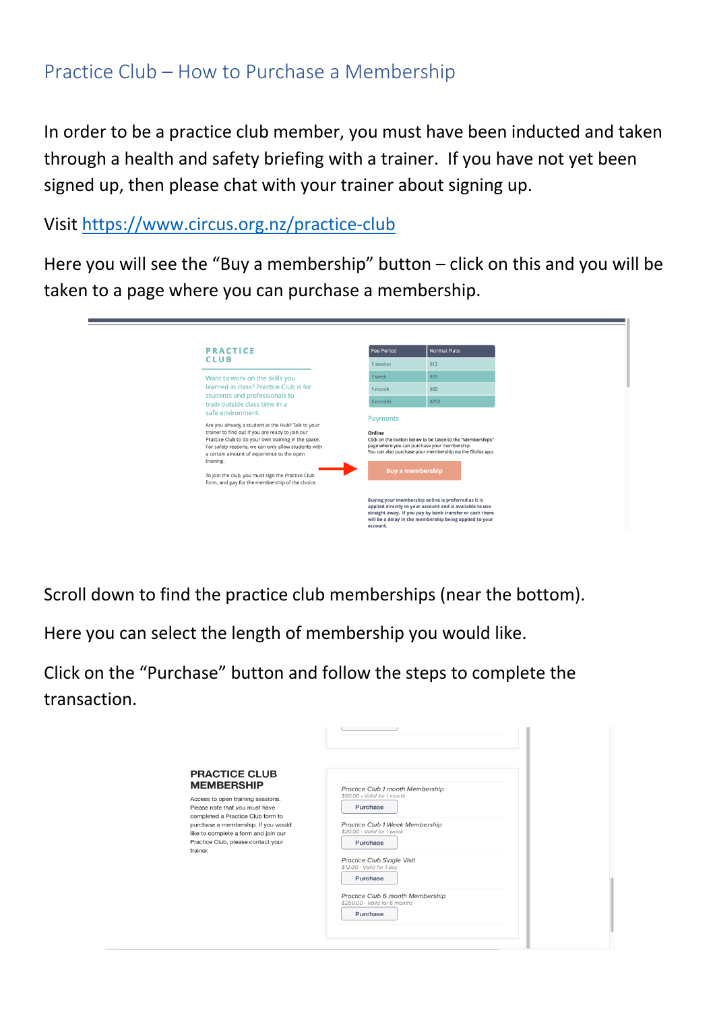## Practice Club – How to Purchase a Membership

In order to be a practice club member, you must have been inducted and taken through a health and safety briefing with a trainer. If you have not yet been signed up, then please chat with your trainer about signing up.

Visit https://www.circus.org.nz/practice-club

Here you will see the "Buy a membership" button – click on this and you will be taken to a page where you can purchase a membership.

| <b>PRACTICE</b>                                                                                                                                                                                                                                                                                                                                                                                              | <b>Fee Period</b>  | <b>Normal Rate</b>                                                                                                                                                                                                                     |
|--------------------------------------------------------------------------------------------------------------------------------------------------------------------------------------------------------------------------------------------------------------------------------------------------------------------------------------------------------------------------------------------------------------|--------------------|----------------------------------------------------------------------------------------------------------------------------------------------------------------------------------------------------------------------------------------|
| <b>CLUB</b>                                                                                                                                                                                                                                                                                                                                                                                                  | 1 session          | \$12                                                                                                                                                                                                                                   |
| Want to work on the skills you                                                                                                                                                                                                                                                                                                                                                                               | 1 week             | \$20                                                                                                                                                                                                                                   |
| learned in class? Practice Club is for                                                                                                                                                                                                                                                                                                                                                                       | 1 month            | \$60                                                                                                                                                                                                                                   |
| students and professionals to<br>train outside class time in a                                                                                                                                                                                                                                                                                                                                               | 6 months           | \$250                                                                                                                                                                                                                                  |
| safe environment.<br>Are you already a student at the Hub? Talk to your<br>trainer to find out if you are ready to join our<br>Practice Club to do your own training in the space.<br>For safety reasons, we can only allow students with<br>a certain amount of experience to the open<br>training.<br>To join the club, you must sign the Practice Club<br>form, and pay for the membership of the choice. | Payments<br>Online | Click on the button below to be taken to the "Memberships"<br>page where you can purchase your membership.<br>You can also purchase your membership via the Glofox app.<br><b>Buy a membership</b>                                     |
|                                                                                                                                                                                                                                                                                                                                                                                                              |                    | Buying your membership online is preferred as it is<br>applied directly to your account and is available to use<br>straight away. If you pay by bank transfer or cash there<br>will be a delay in the membership being applied to your |

Scroll down to find the practice club memberships (near the bottom).

Here you can select the length of membership you would like.

Click on the "Purchase" button and follow the steps to complete the transaction.

| <b>PRACTICE CLUB</b><br><b>MEMBERSHIP</b><br>Access to open training sessions.<br>Please note that you must have<br>completed a Practice Club form to<br>purchase a membership. If you would<br>like to complete a form and join our<br>Practice Club, please contact your<br>trainer. | Practice Club 1 month Membership<br>\$60.00 - Valid for 1 month<br>Purchase<br>Practice Club 1 Week Membership<br>\$20.00 - Valid for 1 week<br>Purchase<br>Practice Club Single Visit<br>\$12.00 - Valid for 1 day<br>Purchase<br>Practice Club 6 month Membership |
|----------------------------------------------------------------------------------------------------------------------------------------------------------------------------------------------------------------------------------------------------------------------------------------|---------------------------------------------------------------------------------------------------------------------------------------------------------------------------------------------------------------------------------------------------------------------|
|                                                                                                                                                                                                                                                                                        | \$250.00 - Valid for 6 months<br>Purchase                                                                                                                                                                                                                           |

 $\sim 10$